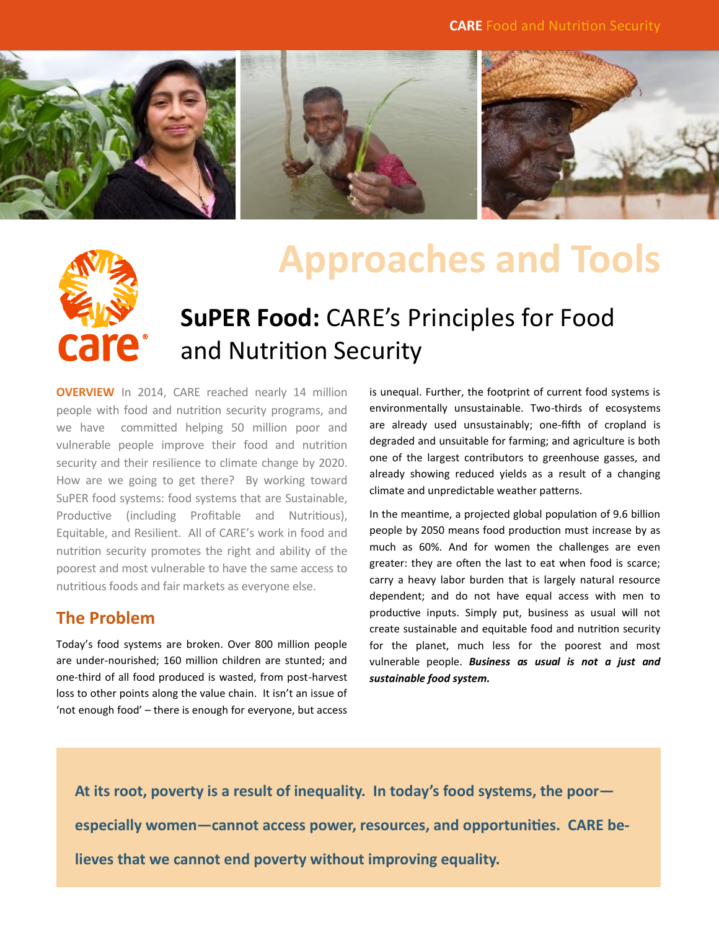

# care<sup>.</sup>

## **Approaches and Tools**

### **SuPER Food:** CARE's Principles for Food and Nutrition Security

**OVERVIEW** In 2014, CARE reached nearly 14 million people with food and nutrition security programs, and we have committed helping 50 million poor and vulnerable people improve their food and nutrition security and their resilience to climate change by 2020. How are we going to get there? By working toward SuPER food systems: food systems that are Sustainable, Productive (including Profitable and Nutritious), Equitable, and Resilient. All of CARE's work in food and nutrition security promotes the right and ability of the poorest and most vulnerable to have the same access to nutritious foods and fair markets as everyone else.

#### **The Problem**

Today's food systems are broken. Over 800 million people are under-nourished; 160 million children are stunted; and one-third of all food produced is wasted, from post-harvest loss to other points along the value chain. It isn't an issue of 'not enough food' – there is enough for everyone, but access

is unequal. Further, the footprint of current food systems is environmentally unsustainable. Two-thirds of ecosystems are already used unsustainably; one-fifth of cropland is degraded and unsuitable for farming; and agriculture is both one of the largest contributors to greenhouse gasses, and already showing reduced yields as a result of a changing climate and unpredictable weather patterns.

In the meantime, a projected global population of 9.6 billion people by 2050 means food production must increase by as much as 60%. And for women the challenges are even greater: they are often the last to eat when food is scarce; carry a heavy labor burden that is largely natural resource dependent; and do not have equal access with men to productive inputs. Simply put, business as usual will not create sustainable and equitable food and nutrition security for the planet, much less for the poorest and most vulnerable people. *Business as usual is not a just and sustainable food system.* 

**At its root, poverty is a result of inequality. In today's food systems, the poor especially women—cannot access power, resources, and opportunities. CARE believes that we cannot end poverty without improving equality.**